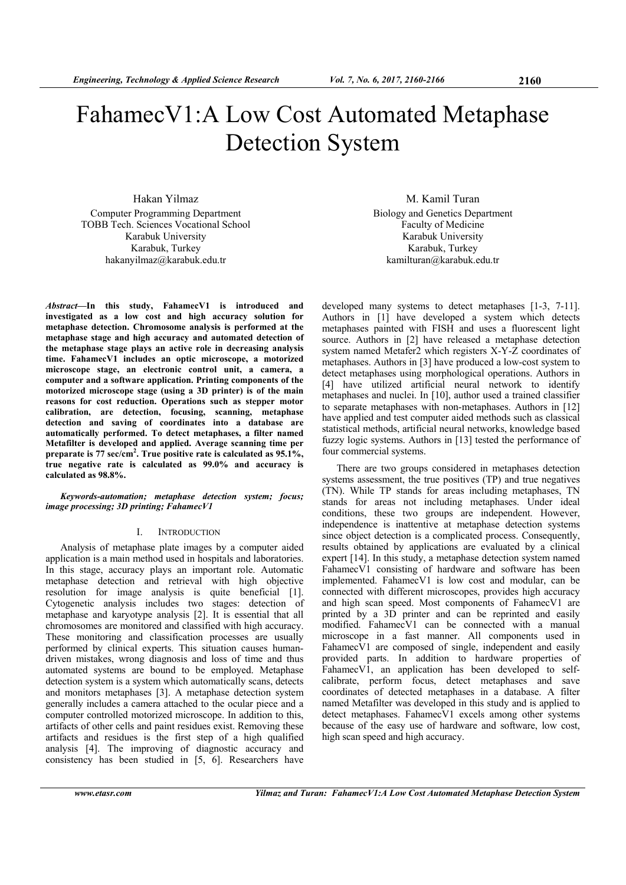# FahamecV1:A Low Cost Automated Metaphase Detection System

Hakan Yilmaz Computer Programming Department TOBB Tech. Sciences Vocational School Karabuk University Karabuk, Turkey hakanyilmaz@karabuk.edu.tr

*Abstract***—In this study, FahamecV1 is introduced and investigated as a low cost and high accuracy solution for metaphase detection. Chromosome analysis is performed at the metaphase stage and high accuracy and automated detection of the metaphase stage plays an active role in decreasing analysis time. FahamecV1 includes an optic microscope, a motorized microscope stage, an electronic control unit, a camera, a computer and a software application. Printing components of the motorized microscope stage (using a 3D printer) is of the main reasons for cost reduction. Operations such as stepper motor calibration, are detection, focusing, scanning, metaphase detection and saving of coordinates into a database are automatically performed. To detect metaphases, a filter named Metafilter is developed and applied. Average scanning time per**  preparate is 77 sec/cm<sup>2</sup>. True positive rate is calculated as 95.1%, **true negative rate is calculated as 99.0% and accuracy is calculated as 98.8%.** 

# *Keywords-automation; metaphase detection system; focus; image processing; 3D printing; FahamecV1*

# I. INTRODUCTION

Analysis of metaphase plate images by a computer aided application is a main method used in hospitals and laboratories. In this stage, accuracy plays an important role. Automatic metaphase detection and retrieval with high objective resolution for image analysis is quite beneficial [1]. Cytogenetic analysis includes two stages: detection of metaphase and karyotype analysis [2]. It is essential that all chromosomes are monitored and classified with high accuracy. These monitoring and classification processes are usually performed by clinical experts. This situation causes humandriven mistakes, wrong diagnosis and loss of time and thus automated systems are bound to be employed. Metaphase detection system is a system which automatically scans, detects and monitors metaphases [3]. A metaphase detection system generally includes a camera attached to the ocular piece and a computer controlled motorized microscope. In addition to this, artifacts of other cells and paint residues exist. Removing these artifacts and residues is the first step of a high qualified analysis [4]. The improving of diagnostic accuracy and consistency has been studied in [5, 6]. Researchers have

M. Kamil Turan Biology and Genetics Department Faculty of Medicine Karabuk University Karabuk, Turkey kamilturan@karabuk.edu.tr

developed many systems to detect metaphases [1-3, 7-11]. Authors in [1] have developed a system which detects metaphases painted with FISH and uses a fluorescent light source. Authors in [2] have released a metaphase detection system named Metafer2 which registers X-Y-Z coordinates of metaphases. Authors in [3] have produced a low-cost system to detect metaphases using morphological operations. Authors in [4] have utilized artificial neural network to identify metaphases and nuclei. In [10], author used a trained classifier to separate metaphases with non-metaphases. Authors in [12] have applied and test computer aided methods such as classical statistical methods, artificial neural networks, knowledge based fuzzy logic systems. Authors in [13] tested the performance of four commercial systems.

There are two groups considered in metaphases detection systems assessment, the true positives (TP) and true negatives (TN). While TP stands for areas including metaphases, TN stands for areas not including metaphases. Under ideal conditions, these two groups are independent. However, independence is inattentive at metaphase detection systems since object detection is a complicated process. Consequently, results obtained by applications are evaluated by a clinical expert [14]. In this study, a metaphase detection system named FahamecV1 consisting of hardware and software has been implemented. FahamecV1 is low cost and modular, can be connected with different microscopes, provides high accuracy and high scan speed. Most components of FahamecV1 are printed by a 3D printer and can be reprinted and easily modified. FahamecV1 can be connected with a manual microscope in a fast manner. All components used in FahamecV1 are composed of single, independent and easily provided parts. In addition to hardware properties of FahamecV1, an application has been developed to selfcalibrate, perform focus, detect metaphases and save coordinates of detected metaphases in a database. A filter named Metafilter was developed in this study and is applied to detect metaphases. FahamecV1 excels among other systems because of the easy use of hardware and software, low cost, high scan speed and high accuracy.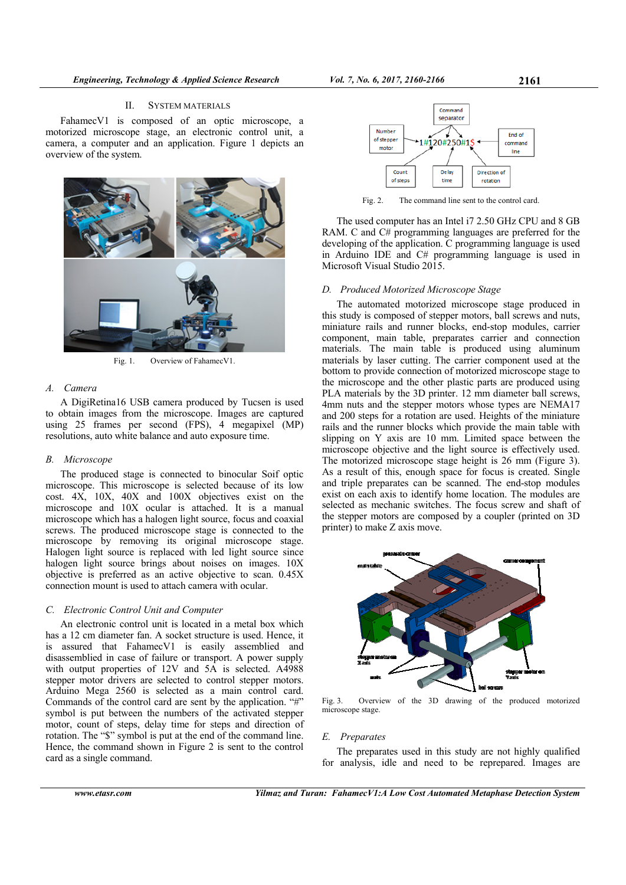# II. SYSTEM MATERIALS

FahamecV1 is composed of an optic microscope, a motorized microscope stage, an electronic control unit, a camera, a computer and an application. Figure 1 depicts an overview of the system.



Fig. 1. Overview of FahamecV1.

# *A. Camera*

A DigiRetina16 USB camera produced by Tucsen is used to obtain images from the microscope. Images are captured using 25 frames per second (FPS), 4 megapixel (MP) resolutions, auto white balance and auto exposure time.

# *B. Microscope*

The produced stage is connected to binocular Soif optic microscope. This microscope is selected because of its low cost. 4X, 10X, 40X and 100X objectives exist on the microscope and 10X ocular is attached. It is a manual microscope which has a halogen light source, focus and coaxial screws. The produced microscope stage is connected to the microscope by removing its original microscope stage. Halogen light source is replaced with led light source since halogen light source brings about noises on images.  $10X$ objective is preferred as an active objective to scan. 0.45X connection mount is used to attach camera with ocular.

#### *C. Electronic Control Unit and Computer*

An electronic control unit is located in a metal box which has a 12 cm diameter fan. A socket structure is used. Hence, it is assured that FahamecV1 is easily assemblied and disassemblied in case of failure or transport. A power supply with output properties of 12V and 5A is selected. A4988 stepper motor drivers are selected to control stepper motors. Arduino Mega 2560 is selected as a main control card. Commands of the control card are sent by the application. "#" symbol is put between the numbers of the activated stepper motor, count of steps, delay time for steps and direction of rotation. The "\$" symbol is put at the end of the command line. Hence, the command shown in Figure 2 is sent to the control card as a single command.



Fig. 2. The command line sent to the control card.

The used computer has an Intel i7 2.50 GHz CPU and 8 GB RAM. C and C# programming languages are preferred for the developing of the application. C programming language is used in Arduino IDE and C# programming language is used in Microsoft Visual Studio 2015.

# *D. Produced Motorized Microscope Stage*

The automated motorized microscope stage produced in this study is composed of stepper motors, ball screws and nuts, miniature rails and runner blocks, end-stop modules, carrier component, main table, preparates carrier and connection materials. The main table is produced using aluminum materials by laser cutting. The carrier component used at the bottom to provide connection of motorized microscope stage to the microscope and the other plastic parts are produced using PLA materials by the 3D printer. 12 mm diameter ball screws, 4mm nuts and the stepper motors whose types are NEMA17 and 200 steps for a rotation are used. Heights of the miniature rails and the runner blocks which provide the main table with slipping on Y axis are 10 mm. Limited space between the microscope objective and the light source is effectively used. The motorized microscope stage height is 26 mm (Figure 3). As a result of this, enough space for focus is created. Single and triple preparates can be scanned. The end-stop modules exist on each axis to identify home location. The modules are selected as mechanic switches. The focus screw and shaft of the stepper motors are composed by a coupler (printed on 3D printer) to make Z axis move.



Fig. 3. Overview of the 3D drawing of the produced motorized microscope stage.

#### *E. Preparates*

The preparates used in this study are not highly qualified for analysis, idle and need to be reprepared. Images are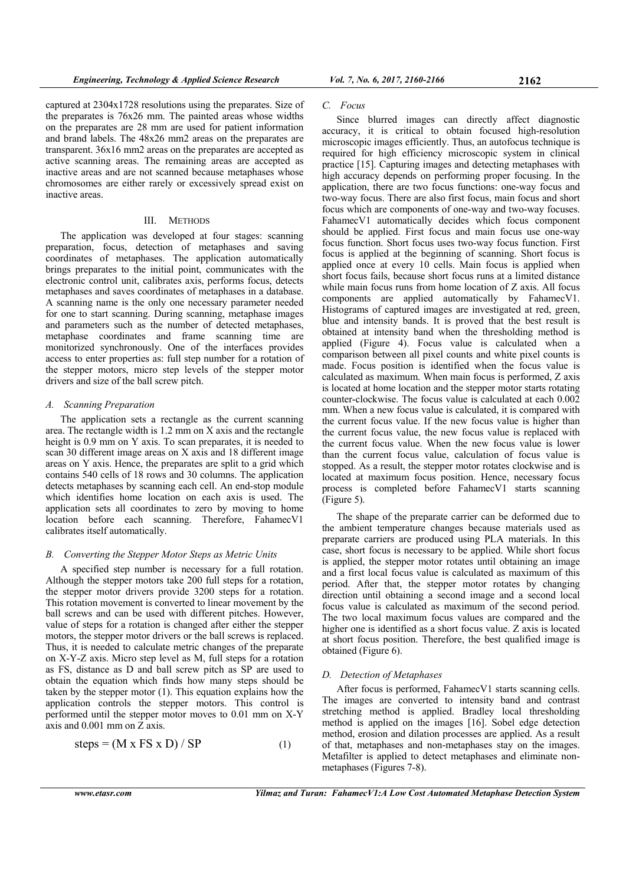captured at 2304x1728 resolutions using the preparates. Size of the preparates is 76x26 mm. The painted areas whose widths on the preparates are 28 mm are used for patient information and brand labels. The 48x26 mm2 areas on the preparates are transparent. 36x16 mm2 areas on the preparates are accepted as active scanning areas. The remaining areas are accepted as inactive areas and are not scanned because metaphases whose chromosomes are either rarely or excessively spread exist on inactive areas.

#### III. METHODS

The application was developed at four stages: scanning preparation, focus, detection of metaphases and saving coordinates of metaphases. The application automatically brings preparates to the initial point, communicates with the electronic control unit, calibrates axis, performs focus, detects metaphases and saves coordinates of metaphases in a database. A scanning name is the only one necessary parameter needed for one to start scanning. During scanning, metaphase images and parameters such as the number of detected metaphases, metaphase coordinates and frame scanning time are monitorized synchronously. One of the interfaces provides access to enter properties as: full step number for a rotation of the stepper motors, micro step levels of the stepper motor drivers and size of the ball screw pitch.

## *A. Scanning Preparation*

The application sets a rectangle as the current scanning area. The rectangle width is 1.2 mm on X axis and the rectangle height is 0.9 mm on Y axis. To scan preparates, it is needed to scan 30 different image areas on X axis and 18 different image areas on Y axis. Hence, the preparates are split to a grid which contains 540 cells of 18 rows and 30 columns. The application detects metaphases by scanning each cell. An end-stop module which identifies home location on each axis is used. The application sets all coordinates to zero by moving to home location before each scanning. Therefore, FahamecV1 calibrates itself automatically.

## *B. Converting the Stepper Motor Steps as Metric Units*

A specified step number is necessary for a full rotation. Although the stepper motors take 200 full steps for a rotation, the stepper motor drivers provide 3200 steps for a rotation. This rotation movement is converted to linear movement by the ball screws and can be used with different pitches. However, value of steps for a rotation is changed after either the stepper motors, the stepper motor drivers or the ball screws is replaced. Thus, it is needed to calculate metric changes of the preparate on X-Y-Z axis. Micro step level as M, full steps for a rotation as FS, distance as D and ball screw pitch as SP are used to obtain the equation which finds how many steps should be taken by the stepper motor (1). This equation explains how the application controls the stepper motors. This control is performed until the stepper motor moves to 0.01 mm on X-Y axis and 0.001 mm on Z axis.

$$
steps = (M \times FS \times D) / SP
$$
 (1)

#### *C. Focus*

Since blurred images can directly affect diagnostic accuracy, it is critical to obtain focused high-resolution microscopic images efficiently. Thus, an autofocus technique is required for high efficiency microscopic system in clinical practice [15]. Capturing images and detecting metaphases with high accuracy depends on performing proper focusing. In the application, there are two focus functions: one-way focus and two-way focus. There are also first focus, main focus and short focus which are components of one-way and two-way focuses. FahamecV1 automatically decides which focus component should be applied. First focus and main focus use one-way focus function. Short focus uses two-way focus function. First focus is applied at the beginning of scanning. Short focus is applied once at every 10 cells. Main focus is applied when short focus fails, because short focus runs at a limited distance while main focus runs from home location of Z axis. All focus components are applied automatically by FahamecV1. Histograms of captured images are investigated at red, green, blue and intensity bands. It is proved that the best result is obtained at intensity band when the thresholding method is applied (Figure 4). Focus value is calculated when a comparison between all pixel counts and white pixel counts is made. Focus position is identified when the focus value is calculated as maximum. When main focus is performed, Z axis is located at home location and the stepper motor starts rotating counter-clockwise. The focus value is calculated at each 0.002 mm. When a new focus value is calculated, it is compared with the current focus value. If the new focus value is higher than the current focus value, the new focus value is replaced with the current focus value. When the new focus value is lower than the current focus value, calculation of focus value is stopped. As a result, the stepper motor rotates clockwise and is located at maximum focus position. Hence, necessary focus process is completed before FahamecV1 starts scanning (Figure 5).

The shape of the preparate carrier can be deformed due to the ambient temperature changes because materials used as preparate carriers are produced using PLA materials. In this case, short focus is necessary to be applied. While short focus is applied, the stepper motor rotates until obtaining an image and a first local focus value is calculated as maximum of this period. After that, the stepper motor rotates by changing direction until obtaining a second image and a second local focus value is calculated as maximum of the second period. The two local maximum focus values are compared and the higher one is identified as a short focus value. Z axis is located at short focus position. Therefore, the best qualified image is obtained (Figure 6).

# *D. Detection of Metaphases*

After focus is performed, FahamecV1 starts scanning cells. The images are converted to intensity band and contrast stretching method is applied. Bradley local thresholding method is applied on the images [16]. Sobel edge detection method, erosion and dilation processes are applied. As a result of that, metaphases and non-metaphases stay on the images. Metafilter is applied to detect metaphases and eliminate nonmetaphases (Figures 7-8).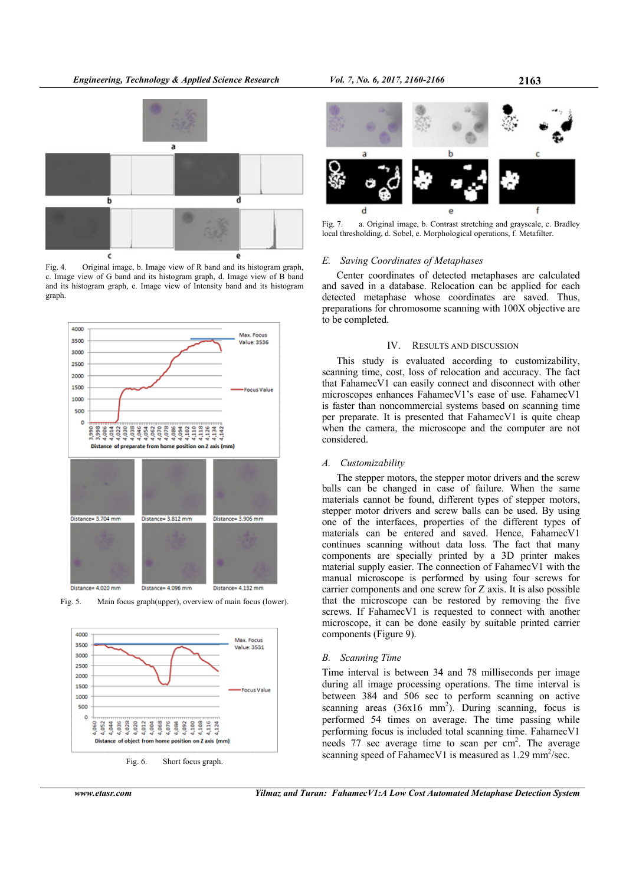

Fig. 4. Original image, b. Image view of R band and its histogram graph, c. Image view of G band and its histogram graph, d. Image view of B band and its histogram graph, e. Image view of Intensity band and its histogram graph.



Fig. 5. Main focus graph(upper), overview of main focus (lower).





## *E. Saving Coordinates of Metaphases*

Center coordinates of detected metaphases are calculated and saved in a database. Relocation can be applied for each detected metaphase whose coordinates are saved. Thus, preparations for chromosome scanning with 100X objective are to be completed.

#### IV. RESULTS AND DISCUSSION

This study is evaluated according to customizability, scanning time, cost, loss of relocation and accuracy. The fact that FahamecV1 can easily connect and disconnect with other microscopes enhances FahamecV1's ease of use. FahamecV1 is faster than noncommercial systems based on scanning time per preparate. It is presented that FahamecV1 is quite cheap when the camera, the microscope and the computer are not considered.

#### *A. Customizability*

The stepper motors, the stepper motor drivers and the screw balls can be changed in case of failure. When the same materials cannot be found, different types of stepper motors, stepper motor drivers and screw balls can be used. By using one of the interfaces, properties of the different types of materials can be entered and saved. Hence, FahamecV1 continues scanning without data loss. The fact that many components are specially printed by a 3D printer makes material supply easier. The connection of FahamecV1 with the manual microscope is performed by using four screws for carrier components and one screw for Z axis. It is also possible that the microscope can be restored by removing the five screws. If FahamecV1 is requested to connect with another microscope, it can be done easily by suitable printed carrier components (Figure 9).

#### *B. Scanning Time*

Time interval is between 34 and 78 milliseconds per image during all image processing operations. The time interval is between 384 and 506 sec to perform scanning on active scanning areas  $(36x16 \text{ mm}^2)$ . During scanning, focus is performed 54 times on average. The time passing while performing focus is included total scanning time. FahamecV1 needs  $77$  sec average time to scan per  $cm<sup>2</sup>$ . The average scanning speed of FahamecV1 is measured as 1.29 mm<sup>2</sup>/sec.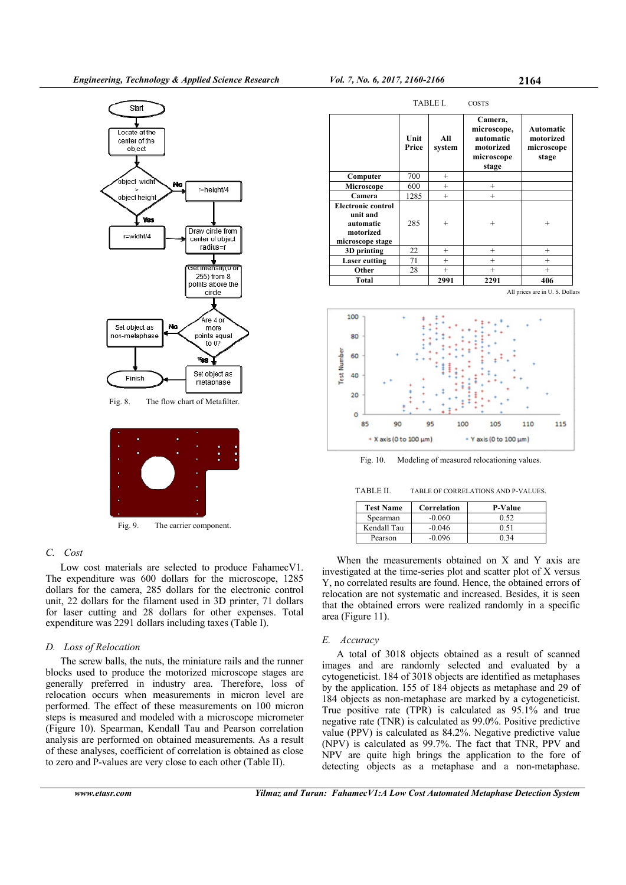

Fig. 9. The carrier component.

# *C. Cost*

Low cost materials are selected to produce FahamecV1. The expenditure was 600 dollars for the microscope, 1285 dollars for the camera, 285 dollars for the electronic control unit, 22 dollars for the filament used in 3D printer, 71 dollars for laser cutting and 28 dollars for other expenses. Total expenditure was 2291 dollars including taxes (Table I).

# *D. Loss of Relocation*

The screw balls, the nuts, the miniature rails and the runner blocks used to produce the motorized microscope stages are generally preferred in industry area. Therefore, loss of relocation occurs when measurements in micron level are performed. The effect of these measurements on 100 micron steps is measured and modeled with a microscope micrometer (Figure 10). Spearman, Kendall Tau and Pearson correlation analysis are performed on obtained measurements. As a result of these analyses, coefficient of correlation is obtained as close to zero and P-values are very close to each other (Table II).





Fig. 10. Modeling of measured relocationing values.

TABLE II. TABLE OF CORRELATIONS AND P-VALUES.

| <b>Test Name</b> | Correlation | <b>P-Value</b> |
|------------------|-------------|----------------|
| Spearman         | $-0.060$    | 0.52           |
| Kendall Tau      | $-0.046$    | 0.51           |
| Pearson          | $-0.096$    | . 34           |

When the measurements obtained on X and Y axis are investigated at the time-series plot and scatter plot of X versus Y, no correlated results are found. Hence, the obtained errors of relocation are not systematic and increased. Besides, it is seen that the obtained errors were realized randomly in a specific area (Figure 11).

## *E. Accuracy*

A total of 3018 objects obtained as a result of scanned images and are randomly selected and evaluated by a cytogeneticist. 184 of 3018 objects are identified as metaphases by the application. 155 of 184 objects as metaphase and 29 of 184 objects as non-metaphase are marked by a cytogeneticist. True positive rate (TPR) is calculated as 95.1% and true negative rate (TNR) is calculated as 99.0%. Positive predictive value (PPV) is calculated as 84.2%. Negative predictive value (NPV) is calculated as 99.7%. The fact that TNR, PPV and NPV are quite high brings the application to the fore of detecting objects as a metaphase and a non-metaphase.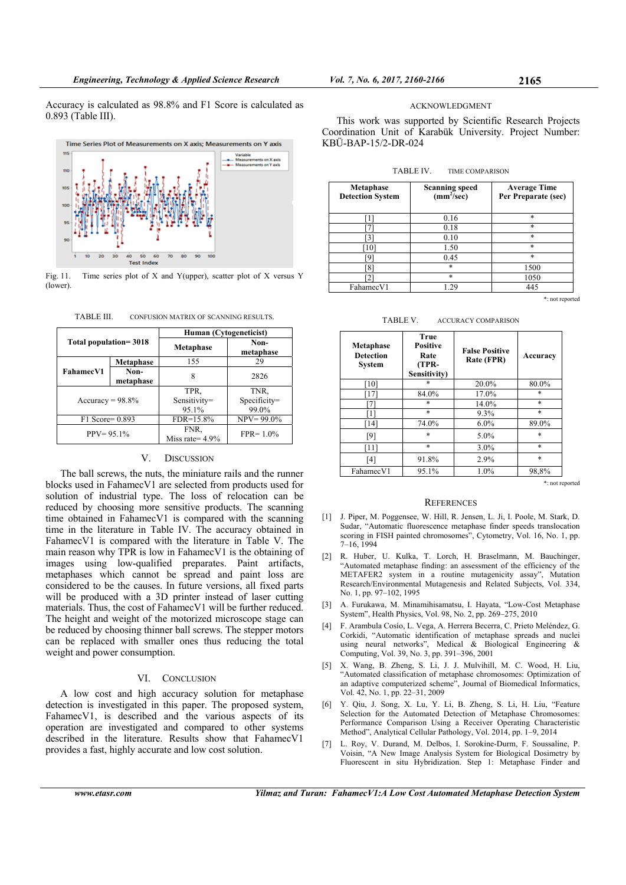Accuracy is calculated as 98.8% and F1 Score is calculated as 0.893 (Table III).



Fig. 11. Time series plot of X and Y(upper), scatter plot of X versus Y (lower).

TABLE III. CONFUSION MATRIX OF SCANNING RESULTS.

| Total population=3018 |                   | Human (Cytogeneticist)        |                               |  |
|-----------------------|-------------------|-------------------------------|-------------------------------|--|
|                       |                   | <b>Metaphase</b>              | Non-<br>metaphase             |  |
| <b>FahamecV1</b>      | Metaphase         | 155                           | 29                            |  |
|                       | Non-<br>metaphase | 8                             | 2826                          |  |
| $Accuracy = 98.8\%$   |                   | TPR.<br>Sensitivity=<br>95.1% | TNR,<br>Specificity=<br>99.0% |  |
| F1 Score= 0.893       |                   | $FDR = 15.8\%$                | $NPV = 99.0\%$                |  |
| $PPV = 95.1\%$        |                   | FNR.<br>Miss rate = $4.9\%$   | $FPR = 1.0\%$                 |  |

# V. DISCUSSION

The ball screws, the nuts, the miniature rails and the runner blocks used in FahamecV1 are selected from products used for solution of industrial type. The loss of relocation can be reduced by choosing more sensitive products. The scanning time obtained in FahamecV1 is compared with the scanning time in the literature in Table IV. The accuracy obtained in FahamecV1 is compared with the literature in Table V. The main reason why TPR is low in FahamecV1 is the obtaining of images using low-qualified preparates. Paint artifacts, metaphases which cannot be spread and paint loss are considered to be the causes. In future versions, all fixed parts will be produced with a 3D printer instead of laser cutting materials. Thus, the cost of FahamecV1 will be further reduced. The height and weight of the motorized microscope stage can be reduced by choosing thinner ball screws. The stepper motors can be replaced with smaller ones thus reducing the total weight and power consumption.

# VI. CONCLUSION

A low cost and high accuracy solution for metaphase detection is investigated in this paper. The proposed system, FahamecV1, is described and the various aspects of its operation are investigated and compared to other systems described in the literature. Results show that FahamecV1 provides a fast, highly accurate and low cost solution.

ACKNOWLEDGMENT

This work was supported by Scientific Research Projects Coordination Unit of Karabük University. Project Number: KBÜ-BAP-15/2-DR-024

| <b>Metaphase</b><br><b>Detection System</b> | <b>Scanning speed</b><br>(mm <sup>2</sup> /sec) | <b>Average Time</b><br>Per Preparate (sec) |  |
|---------------------------------------------|-------------------------------------------------|--------------------------------------------|--|
|                                             | 0.16                                            | $\ast$                                     |  |
|                                             | 0.18                                            | $\ast$                                     |  |
|                                             | 0.10                                            | $\ast$                                     |  |
| $10^{\circ}$                                | 1.50                                            | $\ast$                                     |  |
| 01                                          | 0.45                                            | $\ast$                                     |  |
| '81                                         | $*$                                             | 1500                                       |  |
|                                             | $*$                                             | 1050                                       |  |
| FahamecV1                                   | 1.29                                            | 445                                        |  |

\*: not reported

TABLE V. ACCURACY COMPARISON

| <b>Metaphase</b><br><b>Detection</b><br><b>System</b> | True<br><b>Positive</b><br>Rate<br>(TPR-<br>Sensitivity) | <b>False Positive</b><br>Rate (FPR) | Accuracy |
|-------------------------------------------------------|----------------------------------------------------------|-------------------------------------|----------|
| -101                                                  | $\ast$                                                   | 20.0%                               | 80.0%    |
| 17                                                    | 84.0%                                                    | 17.0%                               | $\ast$   |
|                                                       | $\ast$                                                   | 14.0%                               | $\ast$   |
| Г1                                                    | $\ast$                                                   | 9.3%                                | $\ast$   |
| [14]                                                  | 74.0%                                                    | $6.0\%$                             | 89.0%    |
| [9]                                                   | $\ast$                                                   | $5.0\%$                             | $\ast$   |
| [11]                                                  | $\ast$                                                   | $3.0\%$                             | $\ast$   |
| $[4]$                                                 | 91.8%                                                    | 2.9%                                | $\ast$   |
| FahamecV1                                             | 95.1%                                                    | 1.0%                                | 98,8%    |

\*: not reported

# **REFERENCES**

- [1] J. Piper, M. Poggensee, W. Hill, R. Jensen, L. Ji, I. Poole, M. Stark, D. Sudar, "Automatic fluorescence metaphase finder speeds translocation scoring in FISH painted chromosomes", Cytometry, Vol. 16, No. 1, pp. 7–16, 1994
- [2] R. Huber, U. Kulka, T. Lorch, H. Braselmann, M. Bauchinger, "Automated metaphase finding: an assessment of the efficiency of the METAFER2 system in a routine mutagenicity assay", Mutation Research/Environmental Mutagenesis and Related Subjects, Vol. 334, No. 1, pp. 97–102, 1995
- [3] A. Furukawa, M. Minamihisamatsu, I. Hayata, "Low-Cost Metaphase System", Health Physics, Vol. 98, No. 2, pp. 269–275, 2010
- [4] F. Arambula Cosío, L. Vega, A. Herrera Becerra, C. Prieto Meléndez, G. Corkidi, "Automatic identification of metaphase spreads and nuclei using neural networks", Medical & Biological Engineering & Computing, Vol. 39, No. 3, pp. 391–396, 2001
- [5] X. Wang, B. Zheng, S. Li, J. J. Mulvihill, M. C. Wood, H. Liu, "Automated classification of metaphase chromosomes: Optimization of an adaptive computerized scheme", Journal of Biomedical Informatics, Vol. 42, No. 1, pp. 22–31, 2009
- [6] Y. Qiu, J. Song, X. Lu, Y. Li, B. Zheng, S. Li, H. Liu, "Feature Selection for the Automated Detection of Metaphase Chromosomes: Performance Comparison Using a Receiver Operating Characteristic Method", Analytical Cellular Pathology, Vol. 2014, pp. 1–9, 2014
- [7] L. Roy, V. Durand, M. Delbos, I. Sorokine-Durm, F. Soussaline, P. Voisin, "A New Image Analysis System for Biological Dosimetry by Fluorescent in situ Hybridization. Step 1: Metaphase Finder and